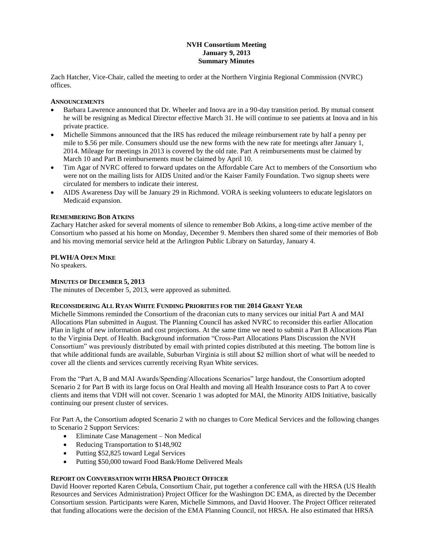# **NVH Consortium Meeting January 9, 2013 Summary Minutes**

Zach Hatcher, Vice-Chair, called the meeting to order at the Northern Virginia Regional Commission (NVRC) offices.

### **ANNOUNCEMENTS**

- Barbara Lawrence announced that Dr. Wheeler and Inova are in a 90-day transition period. By mutual consent he will be resigning as Medical Director effective March 31. He will continue to see patients at Inova and in his private practice.
- Michelle Simmons announced that the IRS has reduced the mileage reimbursement rate by half a penny per mile to \$.56 per mile. Consumers should use the new forms with the new rate for meetings after January 1, 2014. Mileage for meetings in 2013 is covered by the old rate. Part A reimbursements must be claimed by March 10 and Part B reimbursements must be claimed by April 10.
- Tim Agar of NVRC offered to forward updates on the Affordable Care Act to members of the Consortium who were not on the mailing lists for AIDS United and/or the Kaiser Family Foundation. Two signup sheets were circulated for members to indicate their interest.
- AIDS Awareness Day will be January 29 in Richmond. VORA is seeking volunteers to educate legislators on Medicaid expansion.

## **REMEMBERING BOB ATKINS**

Zachary Hatcher asked for several moments of silence to remember Bob Atkins, a long-time active member of the Consortium who passed at his home on Monday, December 9. Members then shared some of their memories of Bob and his moving memorial service held at the Arlington Public Library on Saturday, January 4.

## **PLWH/A OPEN MIKE**

No speakers.

## **MINUTES OF DECEMBER 5, 2013**

The minutes of December 5, 2013, were approved as submitted.

## **RECONSIDERING ALL RYAN WHITE FUNDING PRIORITIES FOR THE 2014 GRANT YEAR**

Michelle Simmons reminded the Consortium of the draconian cuts to many services our initial Part A and MAI Allocations Plan submitted in August. The Planning Council has asked NVRC to reconsider this earlier Allocation Plan in light of new information and cost projections. At the same time we need to submit a Part B Allocations Plan to the Virginia Dept. of Health. Background information "Cross-Part Allocations Plans Discussion the NVH Consortium" was previously distributed by email with printed copies distributed at this meeting. The bottom line is that while additional funds are available, Suburban Virginia is still about \$2 million short of what will be needed to cover all the clients and services currently receiving Ryan White services.

From the "Part A, B and MAI Awards/Spending/Allocations Scenarios" large handout, the Consortium adopted Scenario 2 for Part B with its large focus on Oral Health and moving all Health Insurance costs to Part A to cover clients and items that VDH will not cover. Scenario 1 was adopted for MAI, the Minority AIDS Initiative, basically continuing our present cluster of services.

For Part A, the Consortium adopted Scenario 2 with no changes to Core Medical Services and the following changes to Scenario 2 Support Services:

- Eliminate Case Management Non Medical
- Reducing Transportation to \$148,902
- Putting \$52,825 toward Legal Services
- Putting \$50,000 toward Food Bank/Home Delivered Meals

## **REPORT ON CONVERSATION WITH HRSA PROJECT OFFICER**

David Hoover reported Karen Cebula, Consortium Chair, put together a conference call with the HRSA (US Health Resources and Services Administration) Project Officer for the Washington DC EMA, as directed by the December Consortium session. Participants were Karen, Michelle Simmons, and David Hoover. The Project Officer reiterated that funding allocations were the decision of the EMA Planning Council, not HRSA. He also estimated that HRSA